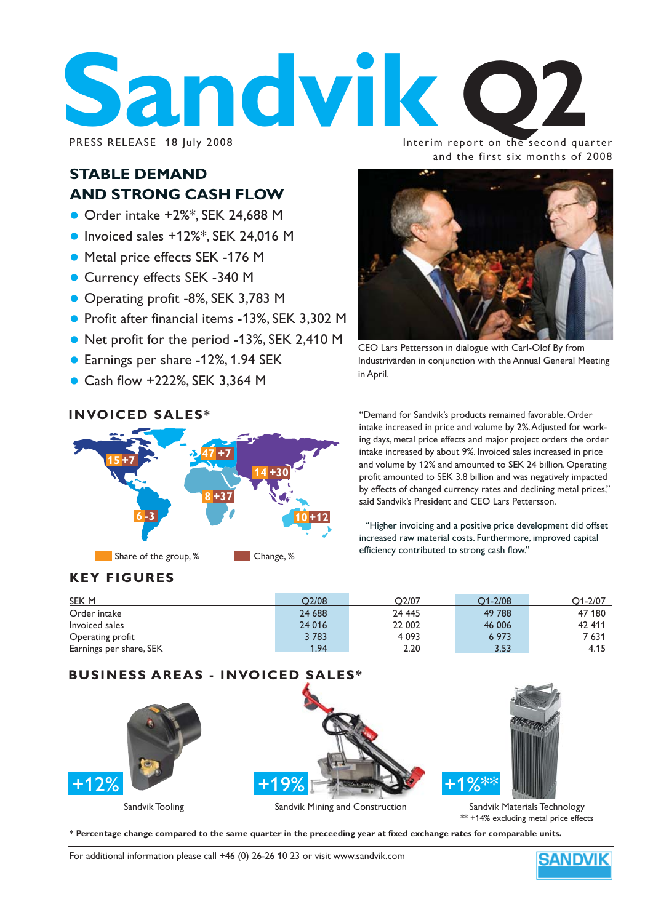# PRESS RELEASE 18 JUly 2008

Interim report on the second quarter and the first six months of 2008

#### **STABLE DEMAND AND STRONG CASH FLOW**

- $\bullet$  Order intake +2%\*, SEK 24,688 M
- $\bullet$  Invoiced sales +12%\*, SEK 24,016 M
- Metal price effects SEK -176 M
- Currency effects SEK -340 M
- Operating profit -8%, SEK 3,783 M
- Profit after financial items -13%, SEK 3,302 M
- Net profit for the period -13%, SEK 2,410 M
- Earnings per share -12%, 1.94 SEK
- Cash flow +222%, SEK 3.364 M

#### **INVOICED SALES\***



#### **KEY FIGURES**



CEO Lars Pettersson in dialogue with Carl-Olof By from Industrivärden in conjunction with the Annual General Meeting in April.

"Demand for Sandvik's products remained favorable. Order intake increased in price and volume by 2%. Adjusted for working days, metal price effects and major project orders the order intake increased by about 9%. Invoiced sales increased in price and volume by 12% and amounted to SEK 24 billion. Operating profit amounted to SEK 3.8 billion and was negatively impacted by effects of changed currency rates and declining metal prices," said Sandvik's President and CEO Lars Pettersson.

"Higher invoicing and a positive price development did offset increased raw material costs. Furthermore, improved capital efficiency contributed to strong cash flow."

| SEK M                          | O2/08  | O <sub>2</sub> /07 | $O1 - 2/08$ | $O1 - 2/07$ |
|--------------------------------|--------|--------------------|-------------|-------------|
| Order intake                   | 24 688 | 24 445             | 49 788      | 47 180      |
| Invoiced sales                 | 24 016 | 22 002             | 46 006      | 42 411      |
| Operating profit               | 3783   | 4 0 9 3            | 6 973       | 7 631       |
| <b>Earnings per share, SEK</b> | 1.94   | 2.20               | 3.53        | 4.15        |

# Sandvik Tooling Sandvik Mining and Construction Sandvik Materials Technology \*\* +14% excluding metal price effects +12% +19% +19% +1%\*\* **BUSINESS AREAS - INVOICED SALES\***

**\* Percentage change compared to the same quarter in the preceeding year at fixed exchange rates for comparable units.**

For additional information please call +46 (0) 26-26 10 23 or visit www.sandvik.com

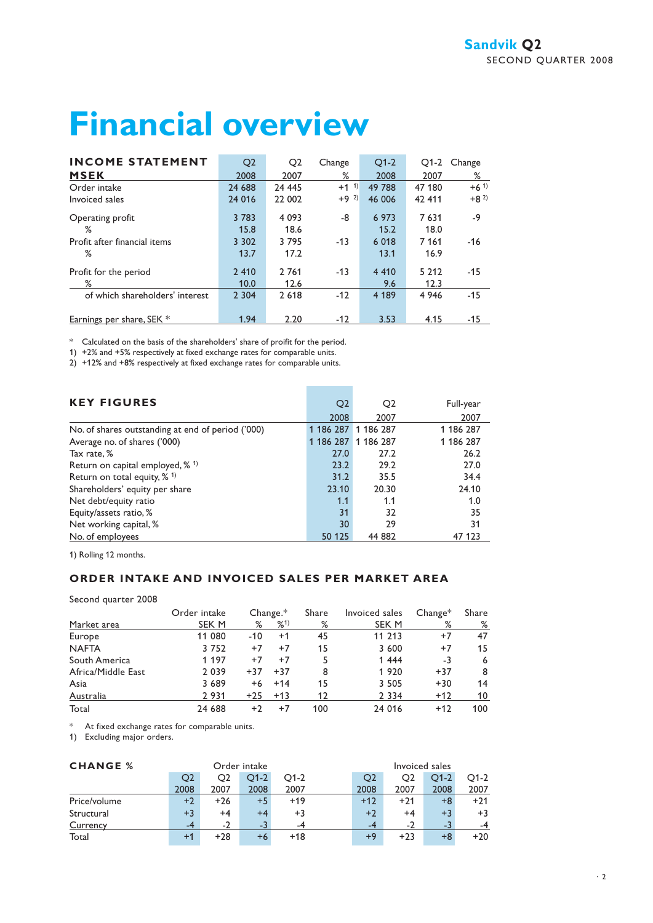# **Financial overview**

| <b>INCOME STATEMENT</b>         | Q <sub>2</sub> | Q <sub>2</sub> | Change             | $O1-2$  | $O1-2$  | Change   |
|---------------------------------|----------------|----------------|--------------------|---------|---------|----------|
| <b>MSEK</b>                     | 2008           | 2007           | ℅                  | 2008    | 2007    | %        |
| Order intake                    | 24 688         | 24 445         | $+1$ <sup>1)</sup> | 49 788  | 47 180  | $+6^{1}$ |
| Invoiced sales                  | 24 016         | 22 002         | $+9^{2}$           | 46 006  | 42 411  | $+8^{2}$ |
| Operating profit                | 3 7 8 3        | 4 0 9 3        | -8                 | 6 9 7 3 | 7631    | $-9$     |
| %                               | 15.8           | 18.6           |                    | 15.2    | 18.0    |          |
| Profit after financial items    | 3 3 0 2        | 3795           | $-13$              | 6 0 18  | 7 1 6 1 | $-16$    |
| ℅                               | 13.7           | 17.2           |                    | 13.1    | 16.9    |          |
| Profit for the period           | 2 4 1 0        | 2 7 6 1        | $-13$              | 4 4 1 0 | 5 2 1 2 | $-15$    |
| ℅                               | 10.0           | 12.6           |                    | 9.6     | 12.3    |          |
| of which shareholders' interest | 2 3 0 4        | 2 6 18         | $-12$              | 4 189   | 4 9 4 6 | $-15$    |
| Earnings per share, SEK *       | 1.94           | 2.20           | $-12$              | 3.53    | 4.15    | $-15$    |

\* Calculated on the basis of the shareholders' share of proifit for the period.

1) +2% and +5% respectively at fixed exchange rates for comparable units.

2) +12% and +8% respectively at fixed exchange rates for comparable units.

| <b>KEY FIGURES</b>                                | Q <sub>2</sub> | Q <sub>2</sub>      | Full-year |
|---------------------------------------------------|----------------|---------------------|-----------|
|                                                   | 2008           | 2007                | 2007      |
| No. of shares outstanding at end of period ('000) |                | 1 186 287 1 186 287 | 1 186 287 |
| Average no. of shares ('000)                      |                | 1 186 287 1 186 287 | 1 186 287 |
| Tax rate, %                                       | 27.0           | 27.2                | 26.2      |
| Return on capital employed, $%$ <sup>1)</sup>     | 23.2           | 29.2                | 27.0      |
| Return on total equity, $% ^{1}$                  | 31.2           | 35.5                | 34.4      |
| Shareholders' equity per share                    | 23.10          | 20.30               | 24.10     |
| Net debt/equity ratio                             | 1.1            | 1.1                 | 1.0       |
| Equity/assets ratio, %                            | 31             | 32                  | 35        |
| Net working capital, %                            | 30             | 29                  | 31        |
| No. of employees                                  | 50 125         | 44 882              | 47 123    |

**Contract Contract** 

1) Rolling 12 months.

#### **ORDER INTAKE AND INVOICED SALES PER MARKET AREA**

Second quarter 2008

|                    | Order intake |       | $Change.*$ | Share | Invoiced sales | $Change*$ | Share |
|--------------------|--------------|-------|------------|-------|----------------|-----------|-------|
| Market area        | SEK M        | %     | $%^{1}$    | %     | SEK M          | %         | %     |
| Europe             | 11 080       | $-10$ | $+1$       | 45    | 11 213         | $+7$      | 47    |
| <b>NAFTA</b>       | 3752         | $+7$  | $+7$       | 15    | 3 600          | $+7$      | 15    |
| South America      | 1 1 9 7      | $+7$  | $+7$       |       | 1 4 4 4        | -3        | 6     |
| Africa/Middle East | 2 0 3 9      | $+37$ | $+37$      | 8     | 1920           | $+37$     | 8     |
| Asia               | 3 6 8 9      | $+6$  | $+14$      | 15    | 3 5 0 5        | $+30$     | 14    |
| Australia          | 2 9 3 1      | $+25$ | $+13$      | 12    | 2 3 3 4        | $+12$     | 10    |
| Total              | 24 688       | $+2$  | +7         | 100   | 24 016         | $+12$     | 100   |

\* At fixed exchange rates for comparable units.

1) Excluding major orders.

| <b>CHANGE %</b> | Order intake |       |        | Invoiced sales |  |       |       |        |        |
|-----------------|--------------|-------|--------|----------------|--|-------|-------|--------|--------|
|                 | O2           | O2    | $O1-2$ | $O1-2$         |  | O2    | O2    | $O1-2$ | $O1-2$ |
|                 | 2008         | 2007  | 2008   | 2007           |  | 2008  | 2007  | 2008   | 2007   |
| Price/volume    | $+2$         | $+26$ | $+5$   | $+19$          |  | $+12$ | $+21$ | +8     | $+21$  |
| Structural      | $+3$         | $+4$  | $+4$   | $+3$           |  | $+2$  | $+4$  | $+3$   | $+3$   |
| Currency        |              | - 2   | -3     |                |  | $-4$  | $-2$  | -3     |        |
| Total           |              | $+28$ | $+6$   | $+18$          |  | $+9$  | $+23$ | +8     | $+20$  |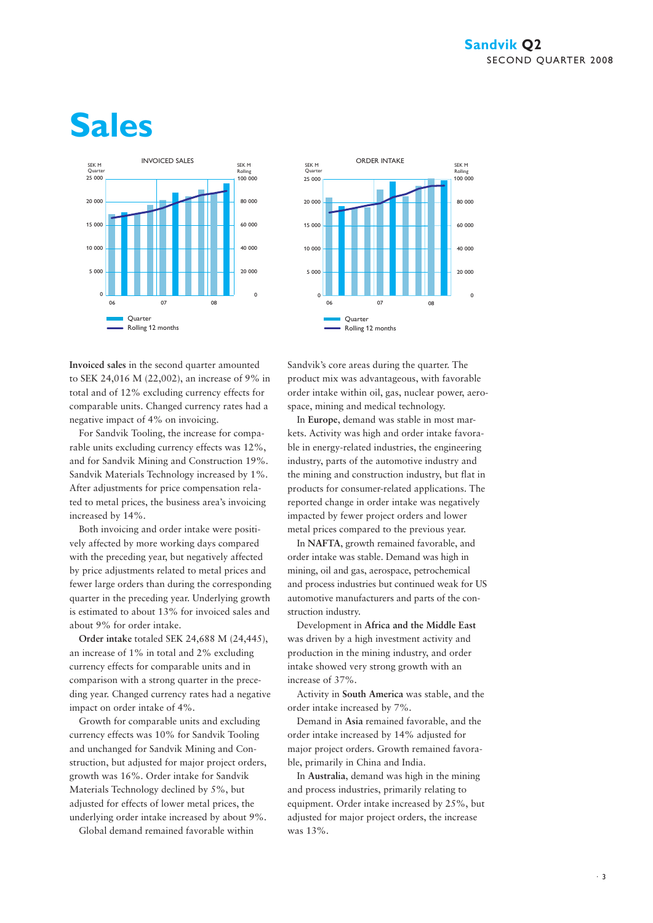# **Sales**





**Invoiced sales** in the second quarter amounted to SEK 24,016 M (22,002), an increase of 9% in total and of 12% excluding currency effects for comparable units. Changed currency rates had a negative impact of 4% on invoicing.

For Sandvik Tooling, the increase for comparable units excluding currency effects was 12%, and for Sandvik Mining and Construction 19%. Sandvik Materials Technology increased by 1%. After adjustments for price compensation related to metal prices, the business area's invoicing increased by 14%.

Both invoicing and order intake were positively affected by more working days compared with the preceding year, but negatively affected by price adjustments related to metal prices and fewer large orders than during the corresponding quarter in the preceding year. Underlying growth is estimated to about 13% for invoiced sales and about 9% for order intake.

**Order intake** totaled SEK 24,688 M (24,445), an increase of 1% in total and 2% excluding currency effects for comparable units and in comparison with a strong quarter in the preceding year. Changed currency rates had a negative impact on order intake of 4%.

Growth for comparable units and excluding currency effects was 10% for Sandvik Tooling and unchanged for Sandvik Mining and Construction, but adjusted for major project orders, growth was 16%. Order intake for Sandvik Materials Technology declined by 5%, but adjusted for effects of lower metal prices, the underlying order intake increased by about 9%.

Global demand remained favorable within

Sandvik's core areas during the quarter. The product mix was advantageous, with favorable order intake within oil, gas, nuclear power, aerospace, mining and medical technology.

In **Europe**, demand was stable in most markets. Activity was high and order intake favorable in energy-related industries, the engineering industry, parts of the automotive industry and the mining and construction industry, but flat in products for consumer-related applications. The reported change in order intake was negatively impacted by fewer project orders and lower metal prices compared to the previous year.

In **NAFTA**, growth remained favorable, and order intake was stable. Demand was high in mining, oil and gas, aerospace, petrochemical and process industries but continued weak for US automotive manufacturers and parts of the construction industry.

Development in **Africa and the Middle East**  was driven by a high investment activity and production in the mining industry, and order intake showed very strong growth with an increase of 37%.

Activity in **South America** was stable, and the order intake increased by 7%.

Demand in **Asia** remained favorable, and the order intake increased by 14% adjusted for major project orders. Growth remained favorable, primarily in China and India.

In **Australia**, demand was high in the mining and process industries, primarily relating to equipment. Order intake increased by 25%, but adjusted for major project orders, the increase was 13%.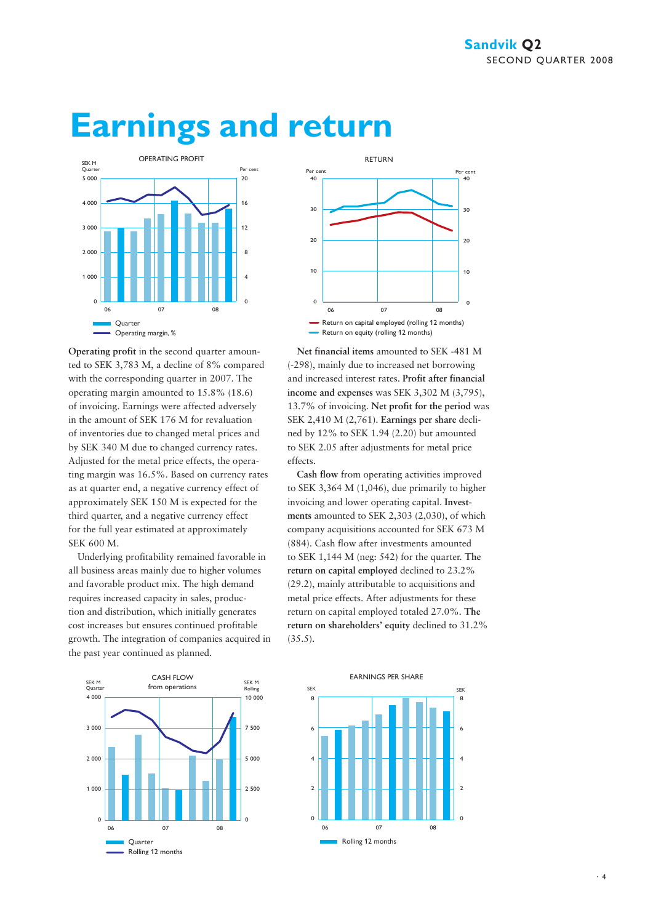

## **Earnings and return**

**Operating profit** in the second quarter amounted to SEK 3,783 M, a decline of 8% compared with the corresponding quarter in 2007. The operating margin amounted to 15.8% (18.6) of invoicing. Earnings were affected adversely in the amount of SEK 176 M for revaluation of inventories due to changed metal prices and by SEK 340 M due to changed currency rates. Adjusted for the metal price effects, the operating margin was 16.5%. Based on currency rates as at quarter end, a negative currency effect of approximately SEK 150 M is expected for the third quarter, and a negative currency effect for the full year estimated at approximately SEK 600 M.

Underlying profitability remained favorable in all business areas mainly due to higher volumes and favorable product mix. The high demand requires increased capacity in sales, production and distribution, which initially generates cost increases but ensures continued profitable growth. The integration of companies acquired in the past year continued as planned.





**Net financial items** amounted to SEK -481 M (-298), mainly due to increased net borrowing and increased interest rates. **Profit after financial income and expenses** was SEK 3,302 M (3,795), 13.7% of invoicing. **Net profit for the period** was SEK 2,410 M (2,761). **Earnings per share** declined by 12% to SEK 1.94 (2.20) but amounted to SEK 2.05 after adjustments for metal price effects.

**Cash flow** from operating activities improved to SEK 3,364 M (1,046), due primarily to higher invoicing and lower operating capital. **Investments** amounted to SEK 2,303 (2,030), of which company acquisitions accounted for SEK 673 M (884). Cash flow after investments amounted to SEK 1,144 M (neg: 542) for the quarter. **The return on capital employed** declined to 23.2% (29.2), mainly attributable to acquisitions and metal price effects. After adjustments for these return on capital employed totaled 27.0%. **The return on shareholders' equity** declined to 31.2% (35.5).

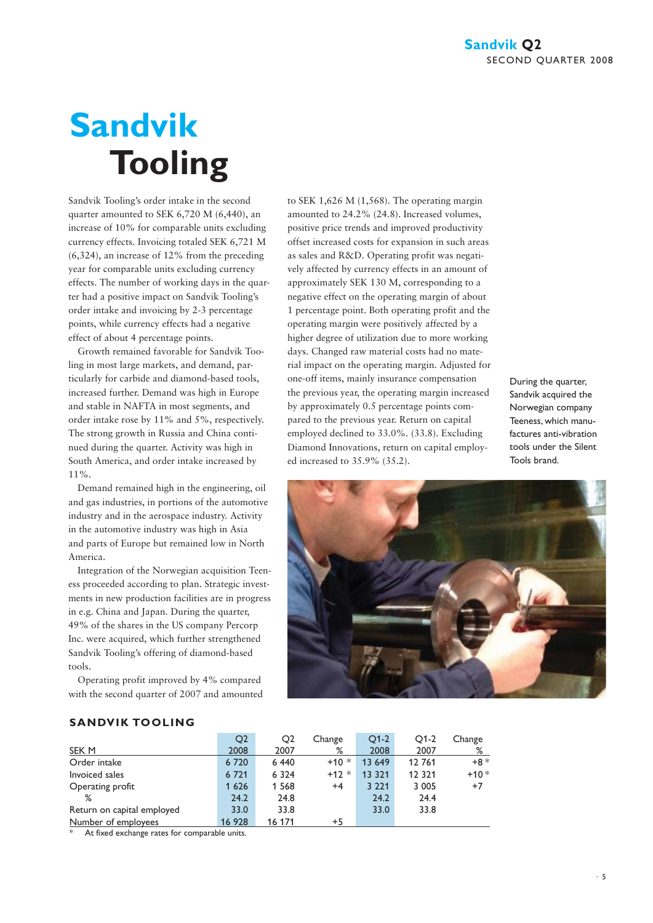# **Sandvik Tooling**

Sandvik Tooling's order intake in the second quarter amounted to SEK 6,720 M (6,440), an increase of 10% for comparable units excluding currency effects. Invoicing totaled SEK 6,721 M (6,324), an increase of 12% from the preceding year for comparable units excluding currency effects. The number of working days in the quarter had a positive impact on Sandvik Tooling's order intake and invoicing by 2-3 percentage points, while currency effects had a negative effect of about 4 percentage points.

Growth remained favorable for Sandvik Tooling in most large markets, and demand, particularly for carbide and diamond-based tools, increased further. Demand was high in Europe and stable in NAFTA in most segments, and order intake rose by 11% and 5%, respectively. The strong growth in Russia and China continued during the quarter. Activity was high in South America, and order intake increased by 11%.

Demand remained high in the engineering, oil and gas industries, in portions of the automotive industry and in the aerospace industry. Activity in the automotive industry was high in Asia and parts of Europe but remained low in North America.

Integration of the Norwegian acquisition Teeness proceeded according to plan. Strategic investments in new production facilities are in progress in e.g. China and Japan. During the quarter, 49% of the shares in the US company Percorp Inc. were acquired, which further strengthened Sandvik Tooling's offering of diamond-based tools.

Operating profit improved by 4% compared with the second quarter of 2007 and amounted to SEK 1,626 M (1,568). The operating margin amounted to 24.2% (24.8). Increased volumes, positive price trends and improved productivity offset increased costs for expansion in such areas as sales and R&D. Operating profit was negatively affected by currency effects in an amount of approximately SEK 130 M, corresponding to a negative effect on the operating margin of about 1 percentage point. Both operating profit and the operating margin were positively affected by a higher degree of utilization due to more working days. Changed raw material costs had no material impact on the operating margin. Adjusted for one-off items, mainly insurance compensation the previous year, the operating margin increased by approximately 0.5 percentage points compared to the previous year. Return on capital employed declined to 33.0%. (33.8). Excluding Diamond Innovations, return on capital employed increased to 35.9% (35.2).

During the quarter, Sandvik acquired the Norwegian company Teeness, which manufactures anti-vibration tools under the Silent Tools brand.



#### **SANDVIK TOOLING**

|                            | Q <sub>2</sub> | Q2      | Change  | $O1-2$  | $O1-2$   | Change |
|----------------------------|----------------|---------|---------|---------|----------|--------|
| SEK <sub>M</sub>           | 2008           | 2007    | %       | 2008    | 2007     | %      |
| Order intake               | 6 7 2 0        | 6 4 4 0 | $+10*$  | 13 649  | 12 761   | $+8*$  |
| Invoiced sales             | 6 7 2 1        | 6 3 2 4 | $+12 *$ | 13 3 21 | 12 3 2 1 | $+10*$ |
| Operating profit           | 1 6 2 6        | 1 5 6 8 | $+4$    | 3 2 2 1 | 3 0 0 5  | $+7$   |
| %                          | 24.2           | 24.8    |         | 24.2    | 24.4     |        |
| Return on capital employed | 33.0           | 33.8    |         | 33.0    | 33.8     |        |
| Number of employees        | 16 928         | 16 171  | $+5$    |         |          |        |

At fixed exchange rates for comparable units.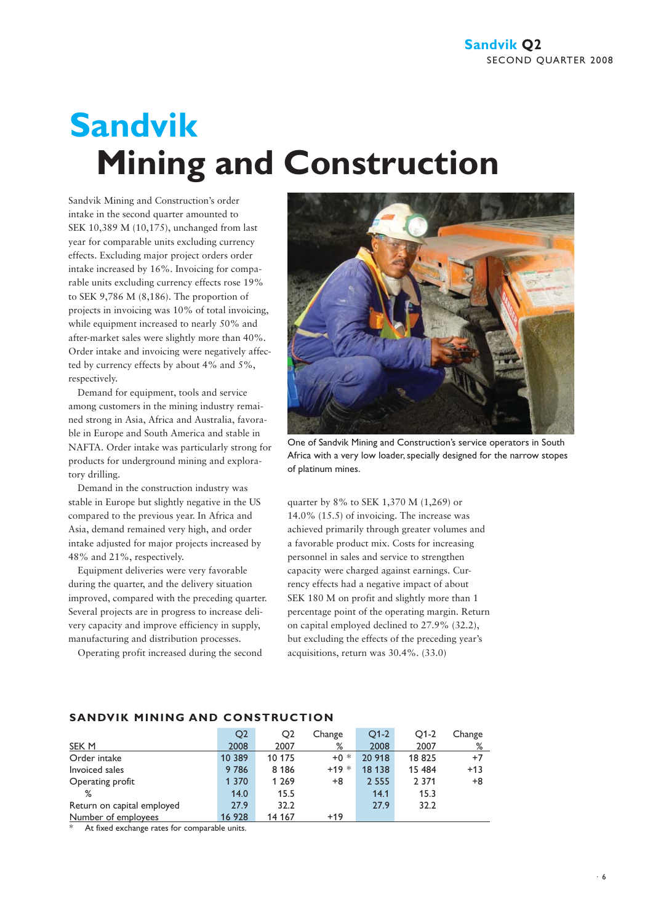# **Sandvik Mining and Construction**

Sandvik Mining and Construction's order intake in the second quarter amounted to SEK 10,389 M (10,175), unchanged from last year for comparable units excluding currency effects. Excluding major project orders order intake increased by 16%. Invoicing for comparable units excluding currency effects rose 19% to SEK 9,786 M (8,186). The proportion of projects in invoicing was 10% of total invoicing, while equipment increased to nearly 50% and after-market sales were slightly more than 40%. Order intake and invoicing were negatively affected by currency effects by about 4% and 5%, respectively.

Demand for equipment, tools and service among customers in the mining industry remained strong in Asia, Africa and Australia, favorable in Europe and South America and stable in NAFTA. Order intake was particularly strong for products for underground mining and exploratory drilling.

Demand in the construction industry was stable in Europe but slightly negative in the US compared to the previous year. In Africa and Asia, demand remained very high, and order intake adjusted for major projects increased by 48% and 21%, respectively.

Equipment deliveries were very favorable during the quarter, and the delivery situation improved, compared with the preceding quarter. Several projects are in progress to increase delivery capacity and improve efficiency in supply, manufacturing and distribution processes.

Operating profit increased during the second



One of Sandvik Mining and Construction's service operators in South Africa with a very low loader, specially designed for the narrow stopes of platinum mines.

quarter by 8% to SEK 1,370 M (1,269) or 14.0% (15.5) of invoicing. The increase was achieved primarily through greater volumes and a favorable product mix. Costs for increasing personnel in sales and service to strengthen capacity were charged against earnings. Currency effects had a negative impact of about SEK 180 M on profit and slightly more than 1 percentage point of the operating margin. Return on capital employed declined to 27.9% (32.2), but excluding the effects of the preceding year's acquisitions, return was 30.4%. (33.0)

|                            | O <sub>2</sub> | Q <sub>2</sub> | Change | $O1-2$  | $O1-2$  | Change |
|----------------------------|----------------|----------------|--------|---------|---------|--------|
| SEK M                      | 2008           | 2007           | %      | 2008    | 2007    | %      |
| Order intake               | 10 389         | 10 175         | $+0*$  | 20 918  | 18 825  | $+7$   |
| Invoiced sales             | 9786           | 8 1 8 6        | $+19*$ | 18 13 8 | 15 484  | $+13$  |
| Operating profit           | 1 3 7 0        | 1 2 6 9        | +8     | 2 5 5 5 | 2 3 7 1 | $+8$   |
| ℅                          | 14.0           | 15.5           |        | 14.1    | 15.3    |        |
| Return on capital employed | 27.9           | 32.2           |        | 27.9    | 32.2    |        |
| Number of employees        | 16 928         | 14 167         | $+19$  |         |         |        |

#### **SANDVIK MINING AND CONSTRUCTION**

At fixed exchange rates for comparable units.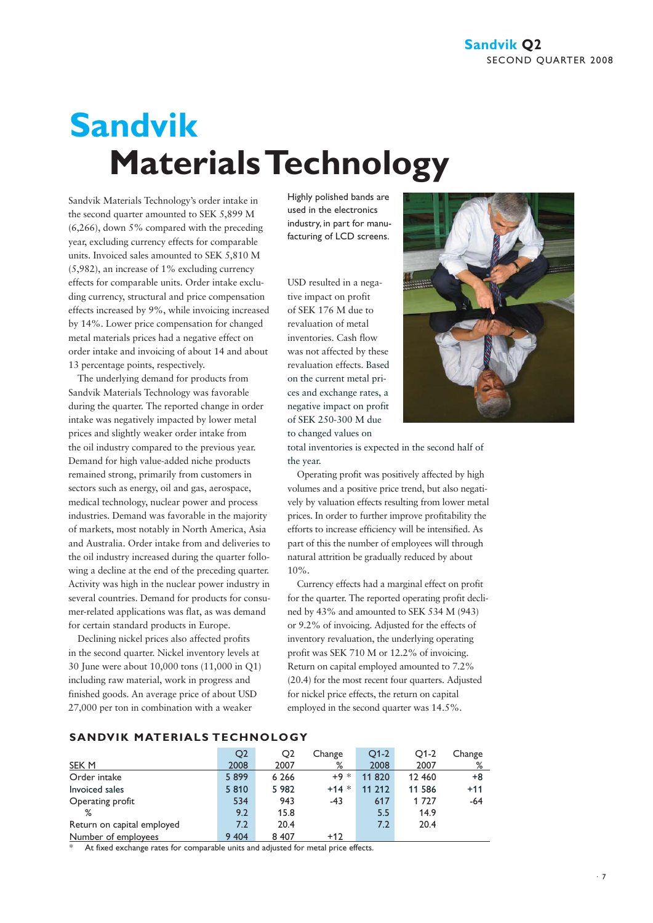# **Sandvik Materials Technology**

Sandvik Materials Technology's order intake in the second quarter amounted to SEK 5,899 M (6,266), down 5% compared with the preceding year, excluding currency effects for comparable units. Invoiced sales amounted to SEK 5,810 M (5,982), an increase of 1% excluding currency effects for comparable units. Order intake excluding currency, structural and price compensation effects increased by 9%, while invoicing increased by 14%. Lower price compensation for changed metal materials prices had a negative effect on order intake and invoicing of about 14 and about 13 percentage points, respectively.

The underlying demand for products from Sandvik Materials Technology was favorable during the quarter. The reported change in order intake was negatively impacted by lower metal prices and slightly weaker order intake from the oil industry compared to the previous year. Demand for high value-added niche products remained strong, primarily from customers in sectors such as energy, oil and gas, aerospace, medical technology, nuclear power and process industries. Demand was favorable in the majority of markets, most notably in North America, Asia and Australia. Order intake from and deliveries to the oil industry increased during the quarter following a decline at the end of the preceding quarter. Activity was high in the nuclear power industry in several countries. Demand for products for consumer-related applications was flat, as was demand for certain standard products in Europe.

Declining nickel prices also affected profits in the second quarter. Nickel inventory levels at 30 June were about 10,000 tons (11,000 in Q1) including raw material, work in progress and finished goods. An average price of about USD 27,000 per ton in combination with a weaker

Highly polished bands are used in the electronics industry, in part for manufacturing of LCD screens.

USD resulted in a negative impact on profit of SEK 176 M due to revaluation of metal inventories. Cash flow was not affected by these revaluation effects. Based on the current metal prices and exchange rates, a negative impact on profit of SEK 250-300 M due to changed values on



total inventories is expected in the second half of the year.

Operating profit was positively affected by high volumes and a positive price trend, but also negatively by valuation effects resulting from lower metal prices. In order to further improve profitability the efforts to increase efficiency will be intensified. As part of this the number of employees will through natural attrition be gradually reduced by about 10%.

Currency effects had a marginal effect on profit for the quarter. The reported operating profit declined by 43% and amounted to SEK 534 M (943) or 9.2% of invoicing. Adjusted for the effects of inventory revaluation, the underlying operating profit was SEK 710 M or 12.2% of invoicing. Return on capital employed amounted to 7.2% (20.4) for the most recent four quarters. Adjusted for nickel price effects, the return on capital employed in the second quarter was 14.5%.

| SANDVIK MATERIALS TECHNOLOGY |  |
|------------------------------|--|
|------------------------------|--|

|                            | O <sub>2</sub> | O <sub>2</sub> | Change          | $O1-2$ | $Q1-2$ | Change |
|----------------------------|----------------|----------------|-----------------|--------|--------|--------|
| <b>SEK M</b>               | 2008           | 2007           | %               | 2008   | 2007   | %      |
| Order intake               | 5899           | 6 2 6 6        | $+9 *$          | 11 820 | 12 460 | $+8$   |
| Invoiced sales             | 5810           | 5 9 8 2        | $\ast$<br>$+14$ | 11 212 | 11 586 | $+11$  |
| Operating profit           | 534            | 943            | $-43$           | 617    | 1 727  | $-64$  |
| %                          | 9.2            | 15.8           |                 | 5.5    | 14.9   |        |
| Return on capital employed | 7.2            | 20.4           |                 | 7.2    | 20.4   |        |
| Number of employees        | 9 4 0 4        | 8 4 0 7        | $+12$           |        |        |        |

At fixed exchange rates for comparable units and adjusted for metal price effects.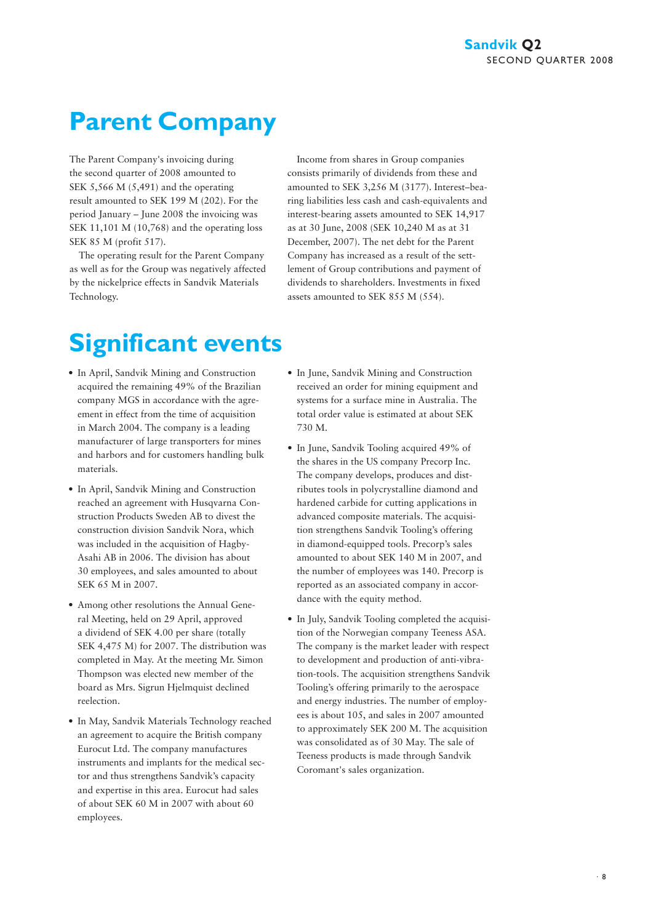### **Parent Company**

The Parent Company's invoicing during the second quarter of 2008 amounted to SEK 5,566 M (5,491) and the operating result amounted to SEK 199 M (202). For the period January – June 2008 the invoicing was SEK 11,101 M (10,768) and the operating loss SEK 85 M (profit 517).

The operating result for the Parent Company as well as for the Group was negatively affected by the nickelprice effects in Sandvik Materials Technology.

Income from shares in Group companies consists primarily of dividends from these and amounted to SEK 3,256 M (3177). Interest–bearing liabilities less cash and cash-equivalents and interest-bearing assets amounted to SEK 14,917 as at 30 June, 2008 (SEK 10,240 M as at 31 December, 2007). The net debt for the Parent Company has increased as a result of the settlement of Group contributions and payment of dividends to shareholders. Investments in fixed assets amounted to SEK 855 M (554).

### **Significant events**

- In April, Sandvik Mining and Construction acquired the remaining 49% of the Brazilian company MGS in accordance with the agreement in effect from the time of acquisition in March 2004. The company is a leading manufacturer of large transporters for mines and harbors and for customers handling bulk materials.
- In April, Sandvik Mining and Construction reached an agreement with Husqvarna Construction Products Sweden AB to divest the construction division Sandvik Nora, which was included in the acquisition of Hagby-Asahi AB in 2006. The division has about 30 employees, and sales amounted to about SEK 65 M in 2007.
- Among other resolutions the Annual General Meeting, held on 29 April, approved a dividend of SEK 4.00 per share (totally SEK 4,475 M) for 2007. The distribution was completed in May. At the meeting Mr. Simon Thompson was elected new member of the board as Mrs. Sigrun Hjelmquist declined reelection.
- In May, Sandvik Materials Technology reached an agreement to acquire the British company Eurocut Ltd. The company manufactures instruments and implants for the medical sector and thus strengthens Sandvik's capacity and expertise in this area. Eurocut had sales of about SEK 60 M in 2007 with about 60 employees.
- In June, Sandvik Mining and Construction received an order for mining equipment and systems for a surface mine in Australia. The total order value is estimated at about SEK 730 M.
- In June, Sandvik Tooling acquired 49% of the shares in the US company Precorp Inc. The company develops, produces and distributes tools in polycrystalline diamond and hardened carbide for cutting applications in advanced composite materials. The acquisition strengthens Sandvik Tooling's offering in diamond-equipped tools. Precorp's sales amounted to about SEK 140 M in 2007, and the number of employees was 140. Precorp is reported as an associated company in accordance with the equity method.
- In July, Sandvik Tooling completed the acquisition of the Norwegian company Teeness ASA. The company is the market leader with respect to development and production of anti-vibration-tools. The acquisition strengthens Sandvik Tooling's offering primarily to the aerospace and energy industries. The number of employees is about 105, and sales in 2007 amounted to approximately SEK 200 M. The acquisition was consolidated as of 30 May. The sale of Teeness products is made through Sandvik Coromant's sales organization.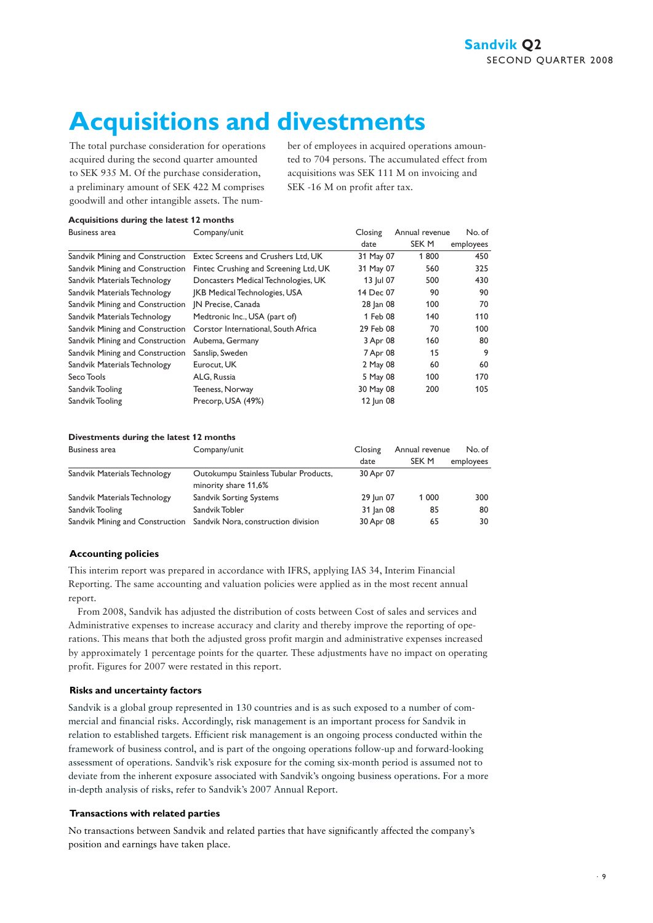### **Acquisitions and divestments**

The total purchase consideration for operations acquired during the second quarter amounted to SEK 935 M. Of the purchase consideration, a preliminary amount of SEK 422 M comprises goodwill and other intangible assets. The number of employees in acquired operations amounted to 704 persons. The accumulated effect from acquisitions was SEK 111 M on invoicing and SEK -16 M on profit after tax.

#### **Acquisitions during the latest 12 months**

| Business area                   | Company/unit                          | Closing   | Annual revenue | No. of    |
|---------------------------------|---------------------------------------|-----------|----------------|-----------|
|                                 |                                       | date      | SEK M          | employees |
| Sandvik Mining and Construction | Extec Screens and Crushers Ltd, UK    | 31 May 07 | 1800           | 450       |
| Sandvik Mining and Construction | Fintec Crushing and Screening Ltd, UK | 31 May 07 | 560            | 325       |
| Sandvik Materials Technology    | Doncasters Medical Technologies, UK   | 13 Jul 07 | 500            | 430       |
| Sandvik Materials Technology    | <b>IKB Medical Technologies, USA</b>  | 14 Dec 07 | 90             | 90        |
| Sandvik Mining and Construction | IN Precise, Canada                    | 28 Jan 08 | 100            | 70        |
| Sandvik Materials Technology    | Medtronic Inc., USA (part of)         | 1 Feb 08  | 140            | 110       |
| Sandvik Mining and Construction | Corstor International, South Africa   | 29 Feb 08 | 70             | 100       |
| Sandvik Mining and Construction | Aubema, Germany                       | 3 Apr 08  | 160            | 80        |
| Sandvik Mining and Construction | Sanslip, Sweden                       | 7 Apr 08  | 15             | 9         |
| Sandvik Materials Technology    | Eurocut, UK                           | 2 May 08  | 60             | 60        |
| Seco Tools                      | ALG, Russia                           | 5 May 08  | 100            | 170       |
| Sandvik Tooling                 | Teeness, Norway                       | 30 May 08 | 200            | 105       |
| Sandvik Tooling                 | Precorp, USA (49%)                    | 12 Jun 08 |                |           |

#### **Divestments during the latest 12 months**

| Business area                | Company/unit                                                        | Closing   | Annual revenue | No. of    |
|------------------------------|---------------------------------------------------------------------|-----------|----------------|-----------|
|                              |                                                                     | date      | SEK M          | employees |
| Sandvik Materials Technology | Outokumpu Stainless Tubular Products,<br>minority share 11,6%       | 30 Apr 07 |                |           |
| Sandvik Materials Technology | Sandvik Sorting Systems                                             | 29 Jun 07 | 1 000          | 300       |
| Sandvik Tooling              | Sandvik Tobler                                                      | 31 Jan 08 | 85             | 80        |
|                              | Sandvik Mining and Construction Sandvik Nora, construction division | 30 Apr 08 | 65             | 30        |

#### **Accounting policies**

This interim report was prepared in accordance with IFRS, applying IAS 34, Interim Financial Reporting. The same accounting and valuation policies were applied as in the most recent annual report.

From 2008, Sandvik has adjusted the distribution of costs between Cost of sales and services and Administrative expenses to increase accuracy and clarity and thereby improve the reporting of operations. This means that both the adjusted gross profit margin and administrative expenses increased by approximately 1 percentage points for the quarter. These adjustments have no impact on operating profit. Figures for 2007 were restated in this report.

#### **Risks and uncertainty factors**

Sandvik is a global group represented in 130 countries and is as such exposed to a number of commercial and financial risks. Accordingly, risk management is an important process for Sandvik in relation to established targets. Efficient risk management is an ongoing process conducted within the framework of business control, and is part of the ongoing operations follow-up and forward-looking assessment of operations. Sandvik's risk exposure for the coming six-month period is assumed not to deviate from the inherent exposure associated with Sandvik's ongoing business operations. For a more in-depth analysis of risks, refer to Sandvik's 2007 Annual Report.

#### **Transactions with related parties**

No transactions between Sandvik and related parties that have significantly affected the company's position and earnings have taken place.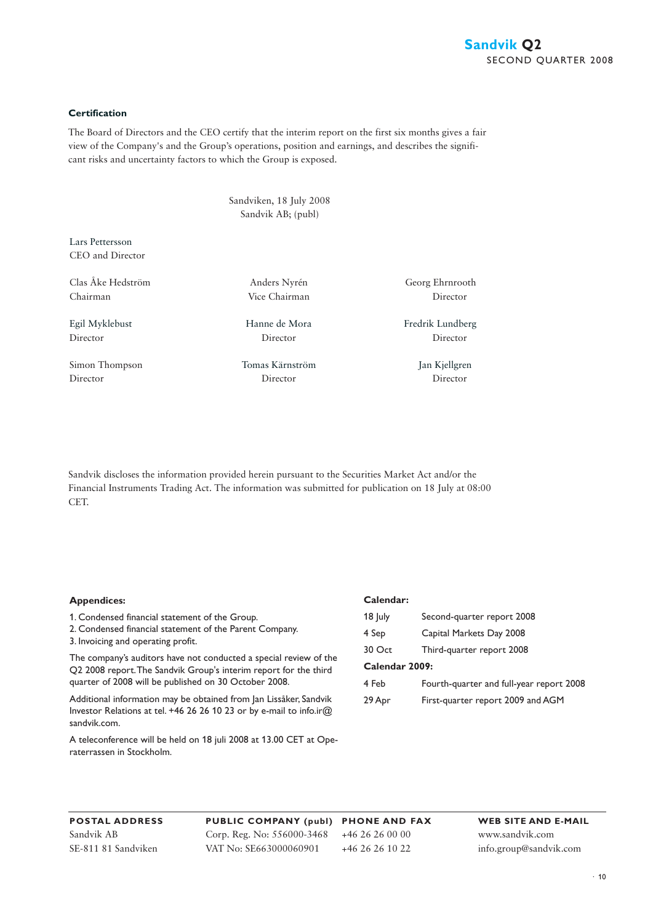#### **Certification**

The Board of Directors and the CEO certify that the interim report on the first six months gives a fair view of the Company's and the Group's operations, position and earnings, and describes the significant risks and uncertainty factors to which the Group is exposed.

> Sandviken, 18 July 2008 Sandvik AB; (publ)

Lars Pettersson CEO and Director

Clas Åke Hedström Anders Nyrén Georg Ehrnrooth Chairman Vice Chairman Director

Simon Thompson Tomas Kärnström Jan Kjellgren Director Director Director

Director Director Director

Egil Myklebust Hanne de Mora Fredrik Lundberg

Sandvik discloses the information provided herein pursuant to the Securities Market Act and/or the Financial Instruments Trading Act. The information was submitted for publication on 18 July at 08:00 CET.

#### **Appendices:**

1. Condensed financial statement of the Group.

- 2. Condensed financial statement of the Parent Company.
- 3. Invoicing and operating profit.

The company's auditors have not conducted a special review of the Q2 2008 report. The Sandvik Group's interim report for the third quarter of 2008 will be published on 30 October 2008.

Additional information may be obtained from Jan Lissåker, Sandvik Investor Relations at tel. +46 26 26 10 23 or by e-mail to info.ir@ sandvik.com.

A teleconference will be held on 18 juli 2008 at 13.00 CET at Operaterrassen in Stockholm.

#### **Calendar:**

| $18$ July      | Second-quarter report 2008               |
|----------------|------------------------------------------|
| 4 Sep          | Capital Markets Day 2008                 |
| 30 Oct         | Third-quarter report 2008                |
| Calendar 2009: |                                          |
| 4 Feb          | Fourth-quarter and full-year report 2008 |
| 29 Apr         | First-quarter report 2009 and AGM        |

**POSTAL ADDRESS** Sandvik AB SE-811 81 Sandviken

**PUBLIC COMPANY (publ) PHONE AND FAX** Corp. Reg. No: 556000-3468 VAT No: SE663000060901 +46 26 26 00 00 +46 26 26 10 22

**WEB SITE AND E-MAIL** www.sandvik.com info.group@sandvik.com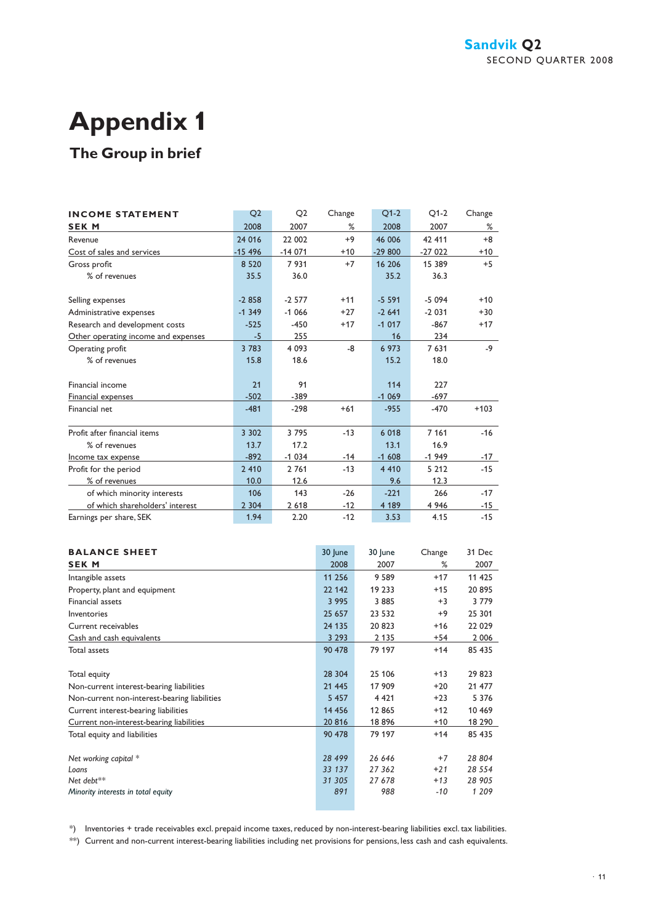# **Appendix 1**

#### **The Group in brief**

| <b>INCOME STATEMENT</b>             | Q <sub>2</sub> | O <sub>2</sub> | Change | $Q1-2$   | $O1-2$   | Change |
|-------------------------------------|----------------|----------------|--------|----------|----------|--------|
| <b>SEK M</b>                        | 2008           | 2007           | %      | 2008     | 2007     | %      |
| Revenue                             | 24 0 16        | 22 002         | $+9$   | 46 006   | 42 411   | $+8$   |
| Cost of sales and services          | $-15496$       | $-14071$       | $+10$  | $-29800$ | $-27022$ | $+10$  |
| Gross profit                        | 8 5 2 0        | 7931           | $+7$   | 16 20 6  | 15 389   | $+5$   |
| % of revenues                       | 35.5           | 36.0           |        | 35.2     | 36.3     |        |
| Selling expenses                    | $-2858$        | $-2577$        | $+11$  | $-5591$  | $-5094$  | $+10$  |
| Administrative expenses             | $-1.349$       | $-1066$        | $+27$  | $-2641$  | $-2031$  | $+30$  |
| Research and development costs      | $-525$         | $-450$         | $+17$  | $-1017$  | $-867$   | $+17$  |
| Other operating income and expenses | $-5$           | 255            |        | 16       | 234      |        |
| Operating profit                    | 3 7 8 3        | 4 0 9 3        | -8     | 6 973    | 7631     | $-9$   |
| % of revenues                       | 15.8           | 18.6           |        | 15.2     | 18.0     |        |
| Financial income                    | 21             | 91             |        | 114      | 227      |        |
| Financial expenses                  | $-502$         | $-389$         |        | $-1069$  | $-697$   |        |
| Financial net                       | $-481$         | $-298$         | $+61$  | $-955$   | $-470$   | $+103$ |
| Profit after financial items        | 3 3 0 2        | 3795           | $-13$  | 6 0 18   | 7 1 6 1  | $-16$  |
| % of revenues                       | 13.7           | 17.2           |        | 13.1     | 16.9     |        |
| Income tax expense                  | $-892$         | $-1034$        | -14    | $-1608$  | $-1949$  | $-17$  |
| Profit for the period               | 2 4 1 0        | 2761           | $-13$  | 4 4 1 0  | 5 2 1 2  | $-15$  |
| % of revenues                       | 10.0           | 12.6           |        | 9.6      | 12.3     |        |
| of which minority interests         | 106            | 143            | $-26$  | $-221$   | 266      | $-17$  |
| of which shareholders' interest     | 2 3 0 4        | 2 6 18         | $-12$  | 4 1 8 9  | 4 9 4 6  | -15    |
| Earnings per share, SEK             | 1.94           | 2.20           | $-12$  | 3.53     | 4.15     | $-15$  |

| <b>BALANCE SHEET</b>                         | 30 June  | 30 June | Change | 31 Dec   |
|----------------------------------------------|----------|---------|--------|----------|
| <b>SEK M</b>                                 | 2008     | 2007    | %      | 2007     |
| Intangible assets                            | 11 256   | 9 5 8 9 | $+17$  | 11 425   |
| Property, plant and equipment                | 22 142   | 19 233  | $+15$  | 20895    |
| Financial assets                             | 3 9 9 5  | 3 8 8 5 | $+3$   | 3779     |
| Inventories                                  | 25 657   | 23 532  | $+9$   | 25 301   |
| Current receivables                          | 24 135   | 20 823  | $+16$  | 22 0 29  |
| Cash and cash equivalents                    | 3 2 9 3  | 2 1 3 5 | +54    | 2 0 0 6  |
| Total assets                                 | 90 478   | 79 197  | $+14$  | 85 435   |
|                                              |          |         |        |          |
| Total equity                                 | 28 304   | 25 106  | $+13$  | 29 823   |
| Non-current interest-bearing liabilities     | 21 445   | 17 909  | $+20$  | 21 477   |
| Non-current non-interest-bearing liabilities | 5 4 5 7  | 4 4 2 1 | $+23$  | 5 3 7 6  |
| Current interest-bearing liabilities         | 14 4 5 6 | 12 865  | $+12$  | 10 469   |
| Current non-interest-bearing liabilities     | 20816    | 18896   | $+10$  | 18 290   |
| Total equity and liabilities                 | 90 478   | 79 197  | $+14$  | 85 435   |
|                                              |          |         |        |          |
| Net working capital *                        | 28 499   | 26 646  | $+7$   | 28 804   |
| Loans                                        | 33 137   | 27 362  | $+21$  | 28 5 5 4 |
| Net debt $**$                                | 31 305   | 27678   | $+13$  | 28 905   |
| Minority interests in total equity           | 891      | 988     | -10    | 1 209    |
|                                              |          |         |        |          |

\*) Inventories + trade receivables excl. prepaid income taxes, reduced by non-interest-bearing liabilities excl. tax liabilities.

\*\*) Current and non-current interest-bearing liabilities including net provisions for pensions, less cash and cash equivalents.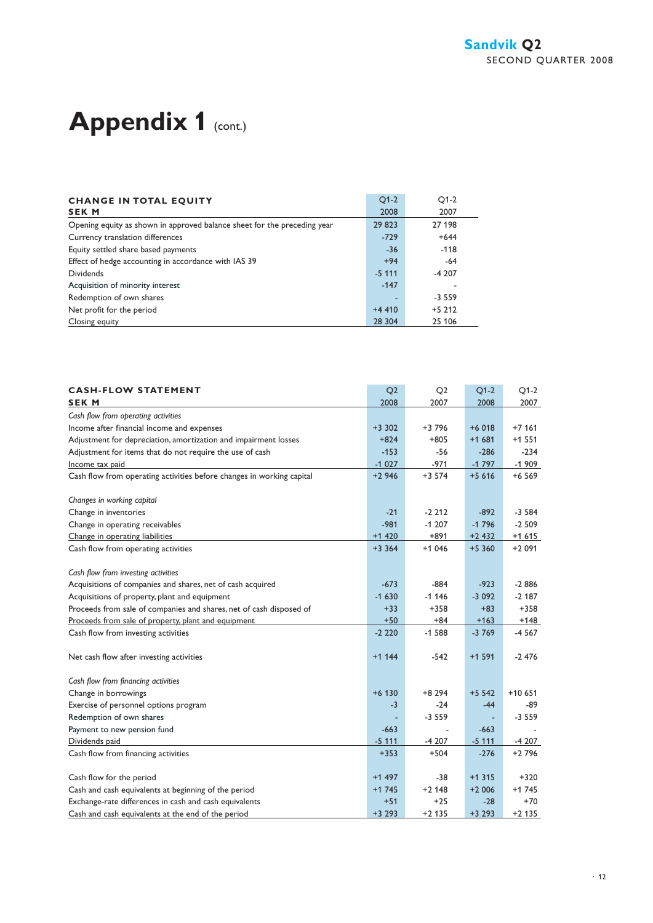### Appendix 1 (cont.)

| <b>CHANGE IN TOTAL EQUITY</b>                                            | $O1-2$    | $O1-2$   |
|--------------------------------------------------------------------------|-----------|----------|
| <b>SEK M</b>                                                             | 2008      | 2007     |
| Opening equity as shown in approved balance sheet for the preceding year | 29 823    | 27 198   |
| Currency translation differences                                         | $-729$    | $+644$   |
| Equity settled share based payments                                      | $-36$     | $-118$   |
| Effect of hedge accounting in accordance with IAS 39                     | $+94$     | $-64$    |
| <b>Dividends</b>                                                         | $-5, 111$ | $-4207$  |
| Acquisition of minority interest                                         | $-147$    |          |
| Redemption of own shares                                                 | ۰         | $-3,559$ |
| Net profit for the period                                                | $+4410$   | $+5212$  |
| Closing equity                                                           | 28 304    | 25 106   |

| <b>CASH-FLOW STATEMENT</b><br><b>SEK M</b>                            | Q <sub>2</sub><br>2008 | Q <sub>2</sub><br>2007 | $Q1-2$<br>2008 | $Q1-2$<br>2007 |
|-----------------------------------------------------------------------|------------------------|------------------------|----------------|----------------|
| Cash flow from operating activities                                   |                        |                        |                |                |
| Income after financial income and expenses                            | $+3.302$               | +3 796                 | $+6018$        | $+7161$        |
| Adjustment for depreciation, amortization and impairment losses       | $+824$                 | $+805$                 | $+1681$        | $+1551$        |
| Adjustment for items that do not require the use of cash              | $-153$                 | $-56$                  | $-286$         | $-234$         |
| Income tax paid                                                       | $-1027$                | $-971$                 | $-1797$        | $-1909$        |
| Cash flow from operating activities before changes in working capital | $+2946$                | $+3574$                | $+5616$        | $+6569$        |
| Changes in working capital                                            |                        |                        |                |                |
| Change in inventories                                                 | $-21$                  | $-2212$                | $-892$         | $-3,584$       |
| Change in operating receivables                                       | $-981$                 | $-1207$                | $-1796$        | $-2509$        |
| Change in operating liabilities                                       | $+1420$                | $+891$                 | $+2432$        | $+1615$        |
| Cash flow from operating activities                                   | $+3.364$               | $+1046$                | $+5360$        | $+2091$        |
| Cash flow from investing activities                                   |                        |                        |                |                |
| Acquisitions of companies and shares, net of cash acquired            | $-673$                 | $-884$                 | $-923$         | $-2886$        |
| Acquisitions of property, plant and equipment                         | $-1630$                | $-1146$                | $-3092$        | $-2.187$       |
| Proceeds from sale of companies and shares, net of cash disposed of   | $+33$                  | $+358$                 | $+83$          | $+358$         |
| Proceeds from sale of property, plant and equipment                   | $+50$                  | $+84$                  | $+163$         | $+148$         |
| Cash flow from investing activities                                   | $-2220$                | $-1.588$               | $-3769$        | $-4567$        |
| Net cash flow after investing activities                              | $+1$ 144               | $-542$                 | $+1$ 591       | $-2476$        |
| Cash flow from financing activities                                   |                        |                        |                |                |
| Change in borrowings                                                  | $+6$ 130               | +8 294                 | $+5542$        | $+10.651$      |
| Exercise of personnel options program                                 | $-3$                   | $-24$                  | $-44$          | -89            |
| Redemption of own shares                                              |                        | $-3559$                |                | $-3559$        |
| Payment to new pension fund                                           | $-663$                 |                        | $-663$         |                |
| Dividends paid                                                        | $-5111$                | $-4207$                | $-5111$        | $-4207$        |
| Cash flow from financing activities                                   | $+353$                 | $+504$                 | $-276$         | $+2796$        |
| Cash flow for the period                                              | $+1497$                | -38                    | $+1$ 315       | $+320$         |
| Cash and cash equivalents at beginning of the period                  | $+1745$                | $+2$ 148               | $+2006$        | $+1745$        |
| Exchange-rate differences in cash and cash equivalents                | $+51$                  | $+25$                  | $-28$          | $+70$          |
| Cash and cash equivalents at the end of the period                    | $+3293$                | $+2$ 135               | $+3293$        | $+2$ 135       |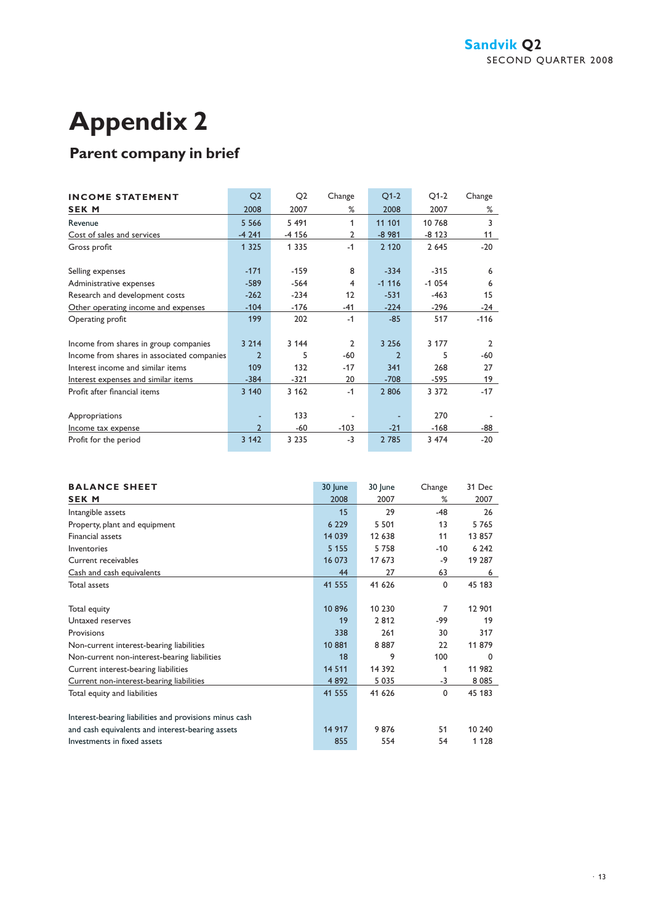## **Appendix 2**

#### **Parent company in brief**

| <b>INCOME STATEMENT</b>                    | Q <sub>2</sub>           | Q2      | Change         | $Q1-2$        | $Q1-2$  | Change        |
|--------------------------------------------|--------------------------|---------|----------------|---------------|---------|---------------|
| <b>SEK M</b>                               | 2008                     | 2007    | %              | 2008          | 2007    | %             |
| Revenue                                    | 5 5 6 6                  | 5 4 9 1 | 1              | 11 101        | 10 768  | 3             |
| Cost of sales and services                 | $-4241$                  | -4 156  | 2              | $-8981$       | $-8123$ | 11            |
| Gross profit                               | 1 3 2 5                  | 1 3 3 5 | $-1$           | 2 1 2 0       | 2645    | $-20$         |
| Selling expenses                           | $-171$                   | $-159$  | 8              | $-334$        | $-315$  | 6             |
| Administrative expenses                    | $-589$                   | $-564$  | $\overline{4}$ | $-1116$       | $-1054$ | 6             |
| Research and development costs             | $-262$                   | $-234$  | 12             | $-531$        | $-463$  | 15            |
| Other operating income and expenses        | $-104$                   | $-176$  | -41            | $-224$        | -296    | -24           |
| Operating profit                           | 199                      | 202     | $-1$           | $-85$         | 517     | $-116$        |
| Income from shares in group companies      | 3 2 1 4                  | 3 1 4 4 | $\mathcal{P}$  | 3 2 5 6       | 3 177   | $\mathcal{P}$ |
| Income from shares in associated companies | $\overline{\phantom{0}}$ | 5       | $-60$          | $\mathcal{P}$ | 5       | -60           |
| Interest income and similar items          | 109                      | 132     | $-17$          | 341           | 268     | 27            |
| Interest expenses and similar items        | $-384$                   | -321    | 20             | $-708$        | -595    | 19            |
| Profit after financial items               | 3 1 4 0                  | 3 1 6 2 | $-1$           | 2 8 0 6       | 3 3 7 2 | $-17$         |
| Appropriations                             |                          | 133     |                |               | 270     |               |
| Income tax expense                         | 2                        | -60     | $-103$         | $-21$         | $-168$  | -88           |
| Profit for the period                      | 3 1 4 2                  | 3 2 3 5 | $-3$           | 2 7 8 5       | 3 474   | $-20$         |

| <b>BALANCE SHEET</b>                                   | 30 June | 30 June  | Change      | 31 Dec  |
|--------------------------------------------------------|---------|----------|-------------|---------|
| <b>SEK M</b>                                           | 2008    | 2007     | %           | 2007    |
| Intangible assets                                      | 15      | 29       | $-48$       | 26      |
| Property, plant and equipment                          | 6 2 2 9 | 5 5 0 1  | 13          | 5765    |
| <b>Financial assets</b>                                | 14 0 39 | 12 638   | 11          | 13 857  |
| Inventories                                            | 5 1 5 5 | 5 7 5 8  | $-10$       | 6 2 4 2 |
| Current receivables                                    | 16 073  | 17 673   | -9          | 19 287  |
| Cash and cash equivalents                              | 44      | 27       | 63          | 6       |
| <b>Total assets</b>                                    | 41 555  | 41 626   | 0           | 45 183  |
|                                                        |         |          |             |         |
| Total equity                                           | 10896   | 10 230   | 7           | 12 901  |
| Untaxed reserves                                       | 19      | 2812     | -99         | 19      |
| Provisions                                             | 338     | 261      | 30          | 317     |
| Non-current interest-bearing liabilities               | 10881   | 8887     | 22          | 11 879  |
| Non-current non-interest-bearing liabilities           | 18      | 9        | 100         | 0       |
| Current interest-bearing liabilities                   | 14 5 11 | 14 3 9 2 | 1           | 11 982  |
| Current non-interest-bearing liabilities               | 4892    | 5 0 3 5  | -3          | 8 0 8 5 |
| Total equity and liabilities                           | 41 555  | 41 626   | $\mathbf 0$ | 45 183  |
|                                                        |         |          |             |         |
| Interest-bearing liabilities and provisions minus cash |         |          |             |         |
| and cash equivalents and interest-bearing assets       | 14 917  | 9876     | 51          | 10 240  |
| Investments in fixed assets                            | 855     | 554      | 54          | 1 1 2 8 |